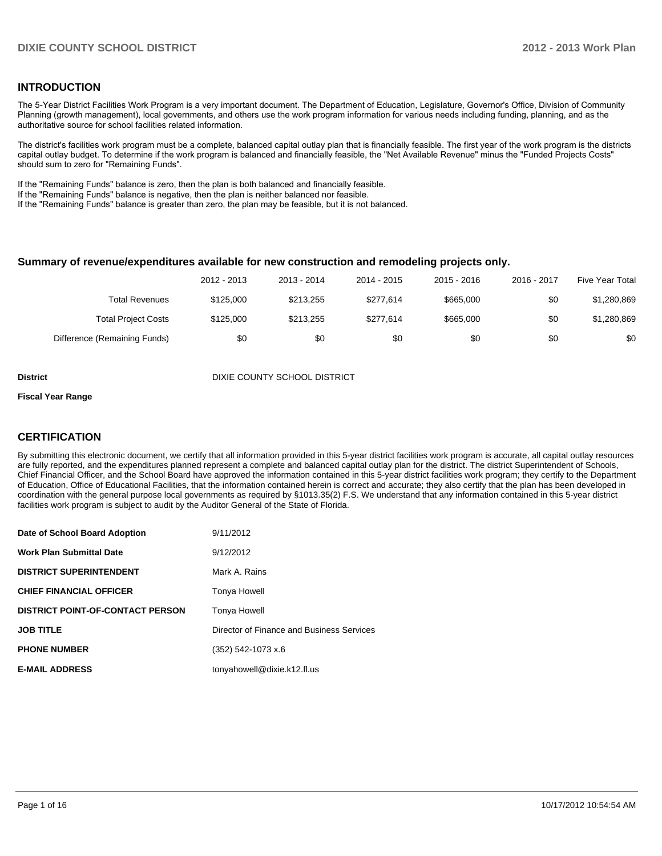### **INTRODUCTION**

The 5-Year District Facilities Work Program is a very important document. The Department of Education, Legislature, Governor's Office, Division of Community Planning (growth management), local governments, and others use the work program information for various needs including funding, planning, and as the authoritative source for school facilities related information.

The district's facilities work program must be a complete, balanced capital outlay plan that is financially feasible. The first year of the work program is the districts capital outlay budget. To determine if the work program is balanced and financially feasible, the "Net Available Revenue" minus the "Funded Projects Costs" should sum to zero for "Remaining Funds".

If the "Remaining Funds" balance is zero, then the plan is both balanced and financially feasible.

If the "Remaining Funds" balance is negative, then the plan is neither balanced nor feasible.

If the "Remaining Funds" balance is greater than zero, the plan may be feasible, but it is not balanced.

### **Summary of revenue/expenditures available for new construction and remodeling projects only.**

| Five Year Total | 2016 - 2017 | $2015 - 2016$ | 2014 - 2015 | 2013 - 2014 | 2012 - 2013 |                              |
|-----------------|-------------|---------------|-------------|-------------|-------------|------------------------------|
| \$1,280,869     | \$0         | \$665,000     | \$277.614   | \$213.255   | \$125,000   | <b>Total Revenues</b>        |
| \$1,280,869     | \$0         | \$665,000     | \$277.614   | \$213.255   | \$125,000   | <b>Total Project Costs</b>   |
| \$0             | \$0         | \$0           | \$0         | \$0         | \$0         | Difference (Remaining Funds) |

**District District District District District District District District District District District District D** 

#### **Fiscal Year Range**

### **CERTIFICATION**

By submitting this electronic document, we certify that all information provided in this 5-year district facilities work program is accurate, all capital outlay resources are fully reported, and the expenditures planned represent a complete and balanced capital outlay plan for the district. The district Superintendent of Schools, Chief Financial Officer, and the School Board have approved the information contained in this 5-year district facilities work program; they certify to the Department of Education, Office of Educational Facilities, that the information contained herein is correct and accurate; they also certify that the plan has been developed in coordination with the general purpose local governments as required by §1013.35(2) F.S. We understand that any information contained in this 5-year district facilities work program is subject to audit by the Auditor General of the State of Florida.

| Date of School Board Adoption           | 9/11/2012                                 |
|-----------------------------------------|-------------------------------------------|
| <b>Work Plan Submittal Date</b>         | 9/12/2012                                 |
| <b>DISTRICT SUPERINTENDENT</b>          | Mark A. Rains                             |
| <b>CHIEF FINANCIAL OFFICER</b>          | Tonya Howell                              |
| <b>DISTRICT POINT-OF-CONTACT PERSON</b> | <b>Tonya Howell</b>                       |
| <b>JOB TITLE</b>                        | Director of Finance and Business Services |
| <b>PHONE NUMBER</b>                     | $(352)$ 542-1073 x.6                      |
| <b>E-MAIL ADDRESS</b>                   | tonyahowell@dixie.k12.fl.us               |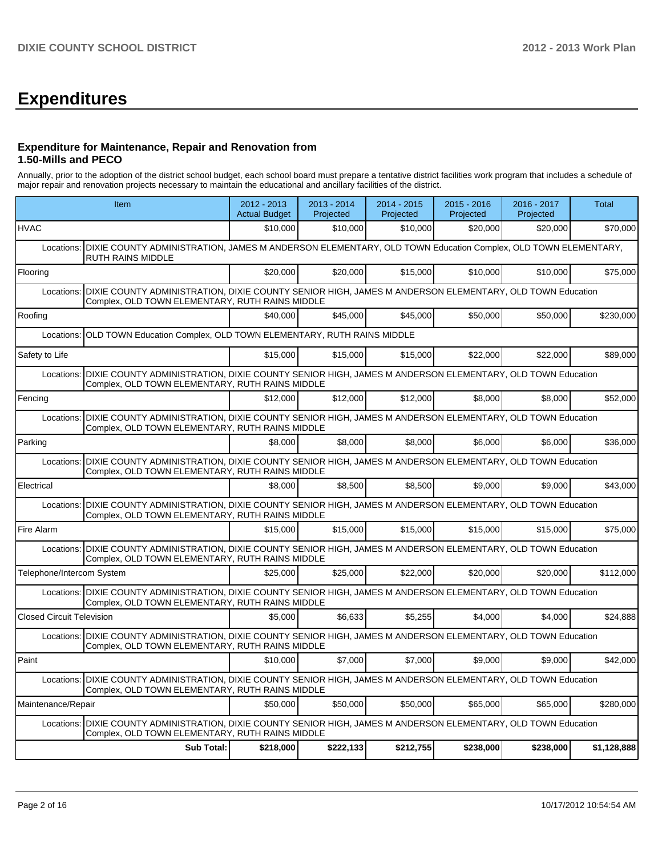# **Expenditures**

### **Expenditure for Maintenance, Repair and Renovation from 1.50-Mills and PECO**

Annually, prior to the adoption of the district school budget, each school board must prepare a tentative district facilities work program that includes a schedule of major repair and renovation projects necessary to maintain the educational and ancillary facilities of the district.

|                                  | Item                                                                                                                                                      | 2012 - 2013<br><b>Actual Budget</b> | 2013 - 2014<br>Projected | 2014 - 2015<br>Projected | 2015 - 2016<br>Projected | 2016 - 2017<br>Projected | Total       |  |  |  |  |
|----------------------------------|-----------------------------------------------------------------------------------------------------------------------------------------------------------|-------------------------------------|--------------------------|--------------------------|--------------------------|--------------------------|-------------|--|--|--|--|
| <b>HVAC</b>                      |                                                                                                                                                           | \$10,000                            | \$10,000                 | \$10,000                 | \$20,000                 | \$20,000                 | \$70,000    |  |  |  |  |
| Locations:                       | DIXIE COUNTY ADMINISTRATION, JAMES M ANDERSON ELEMENTARY, OLD TOWN Education Complex, OLD TOWN ELEMENTARY,<br><b>RUTH RAINS MIDDLE</b>                    |                                     |                          |                          |                          |                          |             |  |  |  |  |
| Flooring                         |                                                                                                                                                           | \$20,000                            | \$20,000                 | \$15,000                 | \$10,000                 | \$10,000                 | \$75,000    |  |  |  |  |
| Locations:                       | DIXIE COUNTY ADMINISTRATION, DIXIE COUNTY SENIOR HIGH, JAMES M ANDERSON ELEMENTARY, OLD TOWN Education<br>Complex, OLD TOWN ELEMENTARY, RUTH RAINS MIDDLE |                                     |                          |                          |                          |                          |             |  |  |  |  |
| Roofing                          |                                                                                                                                                           | \$40,000                            | \$45,000                 | \$45,000                 | \$50,000                 | \$50,000                 | \$230.000   |  |  |  |  |
| Locations:                       | OLD TOWN Education Complex, OLD TOWN ELEMENTARY, RUTH RAINS MIDDLE                                                                                        |                                     |                          |                          |                          |                          |             |  |  |  |  |
| Safety to Life                   |                                                                                                                                                           | \$15,000                            | \$15,000                 | \$15,000                 | \$22,000                 | \$22,000                 | \$89,000    |  |  |  |  |
| Locations:                       | DIXIE COUNTY ADMINISTRATION, DIXIE COUNTY SENIOR HIGH, JAMES M ANDERSON ELEMENTARY, OLD TOWN Education<br>Complex, OLD TOWN ELEMENTARY, RUTH RAINS MIDDLE |                                     |                          |                          |                          |                          |             |  |  |  |  |
| Fencing                          |                                                                                                                                                           | \$12,000                            | \$12,000                 | \$12,000                 | \$8,000                  | \$8,000                  | \$52,000    |  |  |  |  |
| Locations:                       | DIXIE COUNTY ADMINISTRATION, DIXIE COUNTY SENIOR HIGH, JAMES M ANDERSON ELEMENTARY, OLD TOWN Education<br>Complex, OLD TOWN ELEMENTARY, RUTH RAINS MIDDLE |                                     |                          |                          |                          |                          |             |  |  |  |  |
| Parking                          |                                                                                                                                                           | \$8,000                             | \$8,000                  | \$8,000                  | \$6,000                  | \$6,000                  | \$36,000    |  |  |  |  |
| Locations:                       | DIXIE COUNTY ADMINISTRATION, DIXIE COUNTY SENIOR HIGH, JAMES M ANDERSON ELEMENTARY, OLD TOWN Education<br>Complex, OLD TOWN ELEMENTARY, RUTH RAINS MIDDLE |                                     |                          |                          |                          |                          |             |  |  |  |  |
| Electrical                       |                                                                                                                                                           | \$8.000                             | \$8.500                  | \$8.500                  | \$9.000                  | \$9.000                  | \$43.000    |  |  |  |  |
| Locations:                       | DIXIE COUNTY ADMINISTRATION, DIXIE COUNTY SENIOR HIGH, JAMES M ANDERSON ELEMENTARY, OLD TOWN Education<br>Complex, OLD TOWN ELEMENTARY, RUTH RAINS MIDDLE |                                     |                          |                          |                          |                          |             |  |  |  |  |
| Fire Alarm                       |                                                                                                                                                           | \$15,000                            | \$15,000                 | \$15,000                 | \$15,000                 | \$15,000                 | \$75,000    |  |  |  |  |
| Locations:                       | DIXIE COUNTY ADMINISTRATION, DIXIE COUNTY SENIOR HIGH, JAMES M ANDERSON ELEMENTARY, OLD TOWN Education<br>Complex, OLD TOWN ELEMENTARY, RUTH RAINS MIDDLE |                                     |                          |                          |                          |                          |             |  |  |  |  |
| Telephone/Intercom System        |                                                                                                                                                           | \$25,000                            | \$25,000                 | \$22,000                 | \$20,000                 | \$20,000                 | \$112,000   |  |  |  |  |
| Locations:                       | DIXIE COUNTY ADMINISTRATION, DIXIE COUNTY SENIOR HIGH, JAMES M ANDERSON ELEMENTARY, OLD TOWN Education<br>Complex, OLD TOWN ELEMENTARY, RUTH RAINS MIDDLE |                                     |                          |                          |                          |                          |             |  |  |  |  |
| <b>Closed Circuit Television</b> |                                                                                                                                                           | \$5,000                             | \$6.633                  | \$5,255                  | \$4.000                  | \$4.000                  | \$24,888    |  |  |  |  |
| Locations:                       | DIXIE COUNTY ADMINISTRATION, DIXIE COUNTY SENIOR HIGH, JAMES M ANDERSON ELEMENTARY, OLD TOWN Education<br>Complex, OLD TOWN ELEMENTARY, RUTH RAINS MIDDLE |                                     |                          |                          |                          |                          |             |  |  |  |  |
| Paint                            |                                                                                                                                                           | \$10,000                            | \$7,000                  | \$7,000                  | \$9.000                  | \$9.000                  | \$42,000    |  |  |  |  |
| Locations:                       | DIXIE COUNTY ADMINISTRATION, DIXIE COUNTY SENIOR HIGH, JAMES M ANDERSON ELEMENTARY, OLD TOWN Education<br>Complex, OLD TOWN ELEMENTARY, RUTH RAINS MIDDLE |                                     |                          |                          |                          |                          |             |  |  |  |  |
| Maintenance/Repair               |                                                                                                                                                           | \$50,000                            | \$50,000                 | \$50,000                 | \$65,000                 | \$65,000                 | \$280,000   |  |  |  |  |
| Locations:                       | DIXIE COUNTY ADMINISTRATION, DIXIE COUNTY SENIOR HIGH, JAMES M ANDERSON ELEMENTARY, OLD TOWN Education<br>Complex, OLD TOWN ELEMENTARY, RUTH RAINS MIDDLE |                                     |                          |                          |                          |                          |             |  |  |  |  |
|                                  | <b>Sub Total:</b>                                                                                                                                         | \$218,000                           | \$222,133                | \$212,755                | \$238,000                | \$238,000                | \$1,128,888 |  |  |  |  |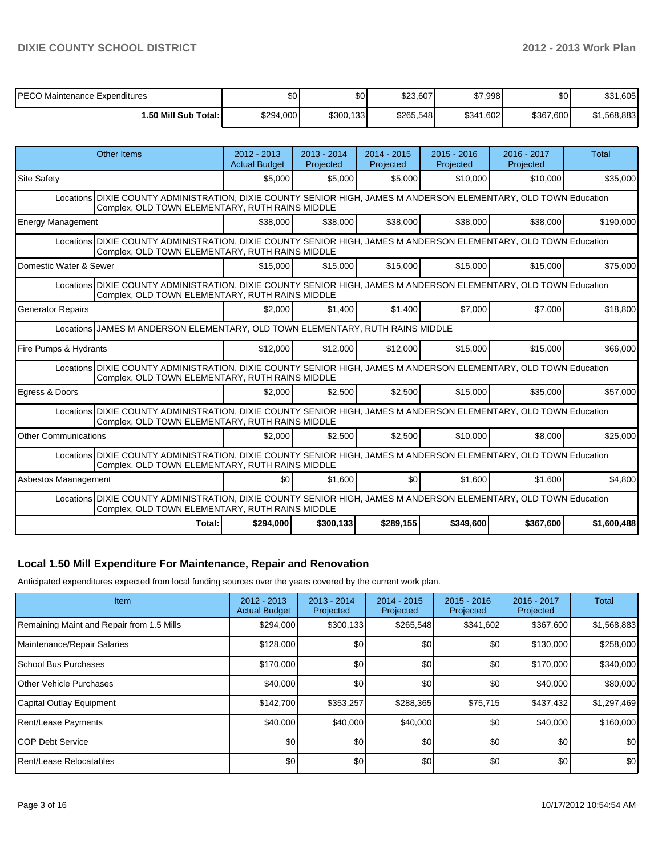| <b>PECO Maintenance Expenditures</b> | \$0 <sub>1</sub> | \$0 <sub>1</sub> | \$23,607  | \$7,998   | \$0       | .605<br>\$31 |
|--------------------------------------|------------------|------------------|-----------|-----------|-----------|--------------|
| 1.50 Mill Sub Total: I               | \$294,000        | \$300,133        | \$265,548 | \$341,602 | \$367,600 | \$1.568.883  |

| <b>Other Items</b>                                                                                                                                                  | $2012 - 2013$<br><b>Actual Budget</b>                                                                                                                               | $2013 - 2014$<br>Projected | $2014 - 2015$<br>Projected | $2015 - 2016$<br>Projected | 2016 - 2017<br>Projected | Total       |  |  |  |
|---------------------------------------------------------------------------------------------------------------------------------------------------------------------|---------------------------------------------------------------------------------------------------------------------------------------------------------------------|----------------------------|----------------------------|----------------------------|--------------------------|-------------|--|--|--|
| <b>Site Safety</b>                                                                                                                                                  | \$5,000                                                                                                                                                             | \$5,000                    | \$5,000                    | \$10,000                   | \$10,000                 | \$35,000    |  |  |  |
| Locations DIXIE COUNTY ADMINISTRATION, DIXIE COUNTY SENIOR HIGH, JAMES M ANDERSON ELEMENTARY, OLD TOWN Education<br>Complex, OLD TOWN ELEMENTARY, RUTH RAINS MIDDLE |                                                                                                                                                                     |                            |                            |                            |                          |             |  |  |  |
| <b>Energy Management</b>                                                                                                                                            | \$38,000                                                                                                                                                            | \$38,000                   | \$38,000                   | \$38,000                   | \$38,000                 | \$190,000   |  |  |  |
|                                                                                                                                                                     | Locations DIXIE COUNTY ADMINISTRATION, DIXIE COUNTY SENIOR HIGH, JAMES M ANDERSON ELEMENTARY, OLD TOWN Education<br>Complex, OLD TOWN ELEMENTARY, RUTH RAINS MIDDLE |                            |                            |                            |                          |             |  |  |  |
| Domestic Water & Sewer                                                                                                                                              | \$15,000                                                                                                                                                            | \$15,000                   | \$15,000                   | \$15,000                   | \$15,000                 | \$75,000    |  |  |  |
| Locations DIXIE COUNTY ADMINISTRATION, DIXIE COUNTY SENIOR HIGH, JAMES M ANDERSON ELEMENTARY, OLD TOWN Education<br>Complex, OLD TOWN ELEMENTARY, RUTH RAINS MIDDLE |                                                                                                                                                                     |                            |                            |                            |                          |             |  |  |  |
| <b>Generator Repairs</b>                                                                                                                                            | \$2.000                                                                                                                                                             | \$1,400                    | \$1,400                    | \$7,000                    | \$7,000                  | \$18,800    |  |  |  |
| Locations JJAMES M ANDERSON ELEMENTARY, OLD TOWN ELEMENTARY, RUTH RAINS MIDDLE                                                                                      |                                                                                                                                                                     |                            |                            |                            |                          |             |  |  |  |
| Fire Pumps & Hydrants                                                                                                                                               | \$12,000                                                                                                                                                            | \$12,000                   | \$12,000                   | \$15,000                   | \$15,000                 | \$66,000    |  |  |  |
| Locations DIXIE COUNTY ADMINISTRATION, DIXIE COUNTY SENIOR HIGH, JAMES M ANDERSON ELEMENTARY, OLD TOWN Education<br>Complex, OLD TOWN ELEMENTARY, RUTH RAINS MIDDLE |                                                                                                                                                                     |                            |                            |                            |                          |             |  |  |  |
| Egress & Doors                                                                                                                                                      | \$2.000                                                                                                                                                             | \$2.500                    | \$2,500                    | \$15,000                   | \$35,000                 | \$57,000    |  |  |  |
| Locations DIXIE COUNTY ADMINISTRATION, DIXIE COUNTY SENIOR HIGH, JAMES M ANDERSON ELEMENTARY, OLD TOWN Education<br>Complex, OLD TOWN ELEMENTARY, RUTH RAINS MIDDLE |                                                                                                                                                                     |                            |                            |                            |                          |             |  |  |  |
| <b>Other Communications</b>                                                                                                                                         | \$2.000                                                                                                                                                             | \$2.500                    | \$2,500                    | \$10,000                   | \$8,000                  | \$25,000    |  |  |  |
| Locations DIXIE COUNTY ADMINISTRATION, DIXIE COUNTY SENIOR HIGH, JAMES M ANDERSON ELEMENTARY, OLD TOWN Education<br>Complex, OLD TOWN ELEMENTARY, RUTH RAINS MIDDLE |                                                                                                                                                                     |                            |                            |                            |                          |             |  |  |  |
| Asbestos Maanagement                                                                                                                                                | \$0                                                                                                                                                                 | \$1,600                    | \$0                        | \$1,600                    | \$1,600                  | \$4,800     |  |  |  |
| Locations DIXIE COUNTY ADMINISTRATION, DIXIE COUNTY SENIOR HIGH, JAMES M ANDERSON ELEMENTARY, OLD TOWN Education<br>Complex, OLD TOWN ELEMENTARY, RUTH RAINS MIDDLE |                                                                                                                                                                     |                            |                            |                            |                          |             |  |  |  |
| Total:                                                                                                                                                              | \$294,000                                                                                                                                                           | \$300,133                  | \$289,155                  | \$349,600                  | \$367,600                | \$1,600,488 |  |  |  |

### **Local 1.50 Mill Expenditure For Maintenance, Repair and Renovation**

Anticipated expenditures expected from local funding sources over the years covered by the current work plan.

| Item                                      | $2012 - 2013$<br><b>Actual Budget</b> | $2013 - 2014$<br>Projected | $2014 - 2015$<br>Projected | $2015 - 2016$<br>Projected | 2016 - 2017<br>Projected | Total       |
|-------------------------------------------|---------------------------------------|----------------------------|----------------------------|----------------------------|--------------------------|-------------|
| Remaining Maint and Repair from 1.5 Mills | \$294,000                             | \$300,133                  | \$265,548                  | \$341,602                  | \$367,600                | \$1,568,883 |
| Maintenance/Repair Salaries               | \$128,000                             | \$0                        | \$0                        | \$0                        | \$130,000                | \$258,000   |
| <b>School Bus Purchases</b>               | \$170,000                             | \$0                        | \$0                        | \$0                        | \$170,000                | \$340,000   |
| <b>Other Vehicle Purchases</b>            | \$40,000                              | \$0                        | \$0                        | \$0                        | \$40,000                 | \$80,000    |
| Capital Outlay Equipment                  | \$142,700                             | \$353,257                  | \$288,365                  | \$75,715                   | \$437,432                | \$1,297,469 |
| Rent/Lease Payments                       | \$40,000                              | \$40,000                   | \$40,000                   | \$0                        | \$40,000                 | \$160,000   |
| <b>ICOP Debt Service</b>                  | \$0                                   | \$0                        | \$0                        | \$0                        | \$0                      | \$0         |
| Rent/Lease Relocatables                   | \$0                                   | \$0                        | \$0                        | \$0                        | \$0                      | \$0         |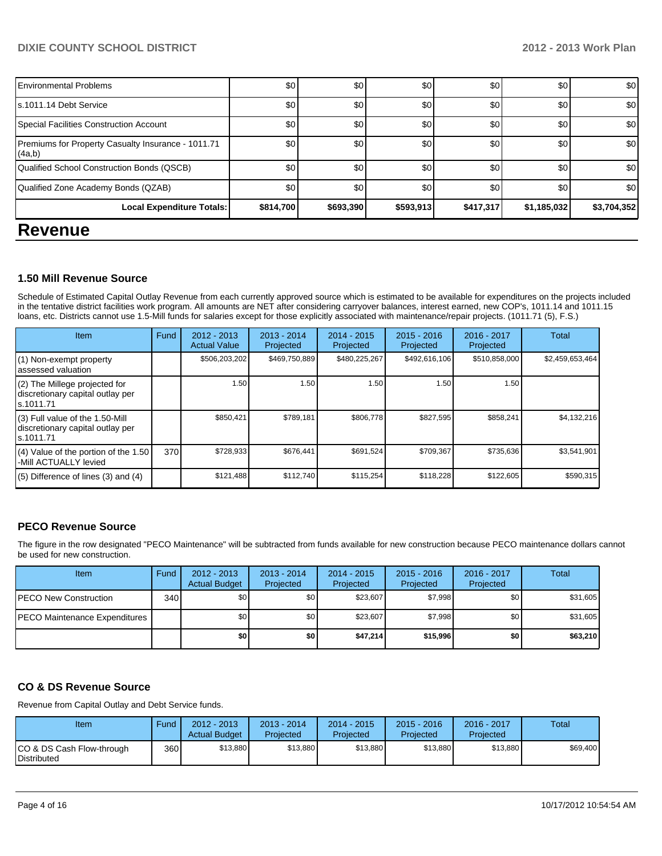### **DIXIE COUNTY SCHOOL DISTRICT 2012 - 2013 Work Plan**

| -                                                            |           |           |           |           |             |             |
|--------------------------------------------------------------|-----------|-----------|-----------|-----------|-------------|-------------|
| Local Expenditure Totals:                                    | \$814,700 | \$693,390 | \$593,913 | \$417,317 | \$1,185,032 | \$3,704,352 |
| Qualified Zone Academy Bonds (QZAB)                          | \$0       | \$0       | \$0       | \$0       | \$0         | \$0         |
| Qualified School Construction Bonds (QSCB)                   | \$0       | \$0       | \$0       | \$0       | \$0         | \$0         |
| Premiums for Property Casualty Insurance - 1011.71<br>(4a,b) | \$0       | \$0       | \$0       | \$0       | \$0         | \$0         |
| Special Facilities Construction Account                      | \$0       | \$0       | \$0       | \$0       | \$0         | \$0         |
| ls.1011.14 Debt Service                                      | \$0       | \$0       | \$0       | \$0       | \$0         | \$0         |
| <b>Environmental Problems</b>                                | \$0       | \$0       | \$0       | \$0       | \$0         | \$0         |
|                                                              |           |           |           |           |             |             |

## **Revenue**

### **1.50 Mill Revenue Source**

Schedule of Estimated Capital Outlay Revenue from each currently approved source which is estimated to be available for expenditures on the projects included in the tentative district facilities work program. All amounts are NET after considering carryover balances, interest earned, new COP's, 1011.14 and 1011.15 loans, etc. Districts cannot use 1.5-Mill funds for salaries except for those explicitly associated with maintenance/repair projects. (1011.71 (5), F.S.)

| Item                                                                                | Fund | $2012 - 2013$<br><b>Actual Value</b> | $2013 - 2014$<br>Projected | $2014 - 2015$<br>Projected | $2015 - 2016$<br>Projected | 2016 - 2017<br>Projected | Total           |
|-------------------------------------------------------------------------------------|------|--------------------------------------|----------------------------|----------------------------|----------------------------|--------------------------|-----------------|
| (1) Non-exempt property<br>lassessed valuation                                      |      | \$506,203,202                        | \$469,750,889              | \$480,225,267              | \$492,616,106              | \$510,858,000            | \$2,459,653,464 |
| (2) The Millege projected for<br>discretionary capital outlay per<br>ls.1011.71     |      | 1.50                                 | 1.50                       | 1.50                       | 1.50                       | 1.50                     |                 |
| $(3)$ Full value of the 1.50-Mill<br>discretionary capital outlay per<br>ls.1011.71 |      | \$850.421                            | \$789,181                  | \$806.778                  | \$827.595                  | \$858,241                | \$4.132.216     |
| $(4)$ Value of the portion of the 1.50<br>-Mill ACTUALLY levied                     | 370  | \$728,933                            | \$676,441                  | \$691,524                  | \$709,367                  | \$735,636                | \$3,541,901     |
| $(5)$ Difference of lines $(3)$ and $(4)$                                           |      | \$121,488                            | \$112,740                  | \$115,254                  | \$118,228                  | \$122,605                | \$590,315       |

## **PECO Revenue Source**

The figure in the row designated "PECO Maintenance" will be subtracted from funds available for new construction because PECO maintenance dollars cannot be used for new construction.

| Item                          | Fund | $2012 - 2013$<br><b>Actual Budget</b> | $2013 - 2014$<br>Projected | $2014 - 2015$<br>Projected | $2015 - 2016$<br>Projected | 2016 - 2017<br>Projected | Total    |
|-------------------------------|------|---------------------------------------|----------------------------|----------------------------|----------------------------|--------------------------|----------|
| PECO New Construction         | 340  | \$0                                   | \$0                        | \$23,607                   | \$7.998                    | \$0                      | \$31,605 |
| PECO Maintenance Expenditures |      | \$0                                   | \$0 <sub>1</sub>           | \$23,607                   | \$7.998                    | \$0                      | \$31,605 |
|                               |      | \$0                                   | \$0                        | \$47,214                   | \$15,996                   | \$0                      | \$63,210 |

### **CO & DS Revenue Source**

Revenue from Capital Outlay and Debt Service funds.

| Item                                            | Fund  | $2012 - 2013$<br><b>Actual Budget</b> | $2013 - 2014$<br>Projected | 2014 - 2015<br>Projected | $2015 - 2016$<br>Projected | 2016 - 2017<br>Projected | Total    |
|-------------------------------------------------|-------|---------------------------------------|----------------------------|--------------------------|----------------------------|--------------------------|----------|
| CO & DS Cash Flow-through<br><b>Distributed</b> | 360 l | \$13,880                              | \$13.880                   | \$13,880                 | \$13,880                   | \$13,880                 | \$69,400 |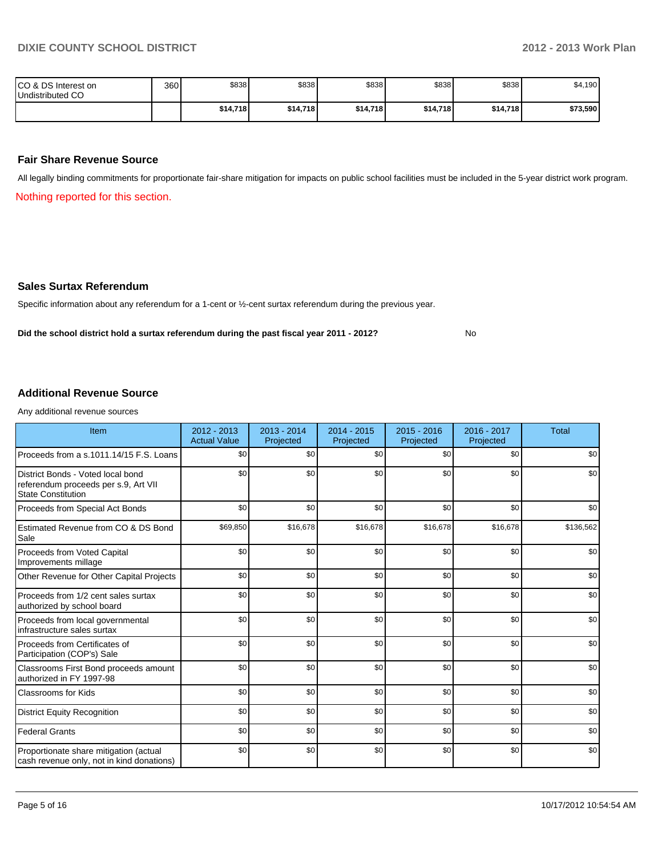No

| ICO & DS Interest on<br>Undistributed CO | 360 | \$838    | \$838    | \$838    | \$838    | \$838    | \$4,190  |
|------------------------------------------|-----|----------|----------|----------|----------|----------|----------|
|                                          |     | \$14.718 | \$14,718 | \$14,718 | \$14.718 | \$14,718 | \$73,590 |

### **Fair Share Revenue Source**

All legally binding commitments for proportionate fair-share mitigation for impacts on public school facilities must be included in the 5-year district work program.

Nothing reported for this section.

#### **Sales Surtax Referendum**

Specific information about any referendum for a 1-cent or ½-cent surtax referendum during the previous year.

**Did the school district hold a surtax referendum during the past fiscal year 2011 - 2012?**

### **Additional Revenue Source**

Any additional revenue sources

| Item                                                                                                   | $2012 - 2013$<br><b>Actual Value</b> | $2013 - 2014$<br>Projected | $2014 - 2015$<br>Projected | $2015 - 2016$<br>Projected | 2016 - 2017<br>Projected | <b>Total</b> |
|--------------------------------------------------------------------------------------------------------|--------------------------------------|----------------------------|----------------------------|----------------------------|--------------------------|--------------|
| Proceeds from a s.1011.14/15 F.S. Loans                                                                | \$0                                  | \$0                        | \$0                        | \$0                        | \$0                      | \$0          |
| District Bonds - Voted local bond<br>referendum proceeds per s.9, Art VII<br><b>State Constitution</b> | \$0                                  | \$0                        | \$0                        | \$0                        | \$0                      | \$0          |
| Proceeds from Special Act Bonds                                                                        | \$0                                  | \$0                        | \$0                        | \$0                        | \$0                      | \$0          |
| Estimated Revenue from CO & DS Bond<br>Sale                                                            | \$69,850                             | \$16,678                   | \$16,678                   | \$16,678                   | \$16,678                 | \$136,562    |
| Proceeds from Voted Capital<br>Improvements millage                                                    | \$0                                  | \$0                        | \$0                        | \$0                        | \$0                      | \$0          |
| Other Revenue for Other Capital Projects                                                               | \$0                                  | \$0                        | \$0                        | \$0                        | \$0                      | \$0          |
| Proceeds from 1/2 cent sales surtax<br>authorized by school board                                      | \$0                                  | \$0                        | \$0                        | \$0                        | \$0                      | \$0          |
| Proceeds from local governmental<br>infrastructure sales surtax                                        | \$0                                  | \$0                        | \$0                        | \$0                        | \$0                      | \$0          |
| Proceeds from Certificates of<br>Participation (COP's) Sale                                            | \$0                                  | \$0                        | \$0                        | \$0                        | \$0                      | \$0          |
| Classrooms First Bond proceeds amount<br>authorized in FY 1997-98                                      | \$0                                  | \$0                        | \$0                        | \$0                        | \$0                      | \$0          |
| <b>Classrooms for Kids</b>                                                                             | \$0                                  | \$0                        | \$0                        | \$0                        | \$0                      | \$0          |
| <b>District Equity Recognition</b>                                                                     | \$0                                  | \$0                        | \$0                        | \$0                        | \$0                      | \$0          |
| <b>Federal Grants</b>                                                                                  | \$0                                  | \$0                        | \$0                        | \$0                        | \$0                      | \$0          |
| Proportionate share mitigation (actual<br>cash revenue only, not in kind donations)                    | \$0                                  | \$0                        | \$0                        | \$0                        | \$0                      | \$0          |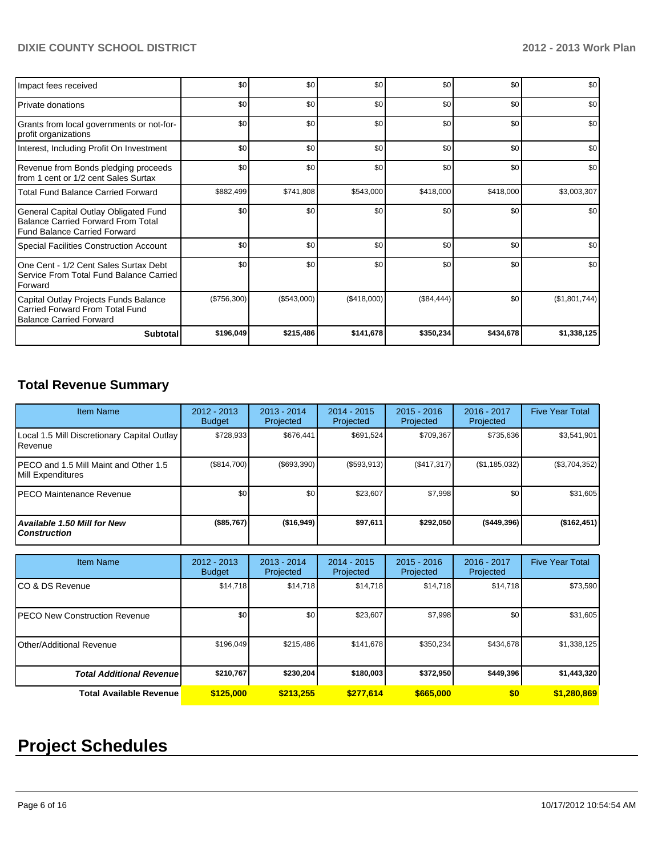## **DIXIE COUNTY SCHOOL DISTRICT 2012 - 2013 Work Plan**

| Impact fees received                                                                                                      | \$0         | \$0         | \$0         | \$0        | \$0       | \$0           |
|---------------------------------------------------------------------------------------------------------------------------|-------------|-------------|-------------|------------|-----------|---------------|
| <b>Private donations</b>                                                                                                  | \$0         | \$0         | \$0         | \$0        | \$0       | \$0           |
| Grants from local governments or not-for-<br>profit organizations                                                         | \$0         | \$0         | \$0         | \$0        | \$0       | \$0           |
| Interest, Including Profit On Investment                                                                                  | \$0         | \$0         | \$0         | \$0        | \$0       | \$0           |
| Revenue from Bonds pledging proceeds<br>from 1 cent or 1/2 cent Sales Surtax                                              | \$0         | \$0         | \$0         | \$0        | \$0       | \$0           |
| <b>Total Fund Balance Carried Forward</b>                                                                                 | \$882,499   | \$741,808   | \$543,000   | \$418,000  | \$418,000 | \$3,003,307   |
| General Capital Outlay Obligated Fund<br><b>Balance Carried Forward From Total</b><br><b>Fund Balance Carried Forward</b> | \$0         | \$0         | \$0         | \$0        | \$0       | \$0           |
| <b>Special Facilities Construction Account</b>                                                                            | \$0         | \$0         | \$0         | \$0        | \$0       | \$0           |
| One Cent - 1/2 Cent Sales Surtax Debt<br>Service From Total Fund Balance Carried<br>Forward                               | \$0         | \$0         | \$0         | \$0        | \$0       | \$0           |
| Capital Outlay Projects Funds Balance<br>Carried Forward From Total Fund<br><b>Balance Carried Forward</b>                | (\$756,300) | (\$543,000) | (\$418,000) | (\$84,444) | \$0       | (\$1,801,744) |
| <b>Subtotal</b>                                                                                                           | \$196,049   | \$215,486   | \$141,678   | \$350,234  | \$434,678 | \$1,338,125   |

# **Total Revenue Summary**

| <b>Item Name</b>                                           | $2012 - 2013$<br><b>Budget</b> | $2013 - 2014$<br>Projected | $2014 - 2015$<br>Projected | $2015 - 2016$<br>Projected | 2016 - 2017<br>Projected | <b>Five Year Total</b> |
|------------------------------------------------------------|--------------------------------|----------------------------|----------------------------|----------------------------|--------------------------|------------------------|
| Local 1.5 Mill Discretionary Capital Outlay<br>l Revenue   | \$728,933                      | \$676,441                  | \$691.524                  | \$709,367                  | \$735,636                | \$3,541,901            |
| PECO and 1.5 Mill Maint and Other 1.5<br>Mill Expenditures | (\$814,700)                    | $($ \$693,390)             | (\$593,913)                | (S417, 317)                | (\$1,185,032)            | (\$3,704,352)          |
| IPECO Maintenance Revenue                                  | \$0                            | \$0                        | \$23.607                   | \$7,998                    | \$0                      | \$31,605               |
| <b>Available 1.50 Mill for New</b><br><b>Construction</b>  | (\$85,767)                     | (\$16,949)                 | \$97,611                   | \$292,050                  | $($ \$449,396)           | (\$162,451)            |

| <b>Item Name</b>                      | 2012 - 2013<br><b>Budget</b> | $2013 - 2014$<br>Projected | $2014 - 2015$<br>Projected | $2015 - 2016$<br>Projected | $2016 - 2017$<br>Projected | <b>Five Year Total</b> |
|---------------------------------------|------------------------------|----------------------------|----------------------------|----------------------------|----------------------------|------------------------|
| ICO & DS Revenue                      | \$14,718                     | \$14,718                   | \$14,718                   | \$14,718                   | \$14,718                   | \$73,590               |
| <b>IPECO New Construction Revenue</b> | \$0 <sub>1</sub>             | \$0                        | \$23,607                   | \$7,998                    | \$0                        | \$31,605               |
| Other/Additional Revenue              | \$196,049                    | \$215,486                  | \$141,678                  | \$350,234                  | \$434,678                  | \$1,338,125            |
| <b>Total Additional Revenuel</b>      | \$210.767                    | \$230,204                  | \$180,003                  | \$372,950                  | \$449.396                  | \$1,443,320            |
| Total Available Revenue               | \$125,000                    | \$213.255                  | \$277.614                  | \$665,000                  | \$0                        | \$1,280,869            |

# **Project Schedules**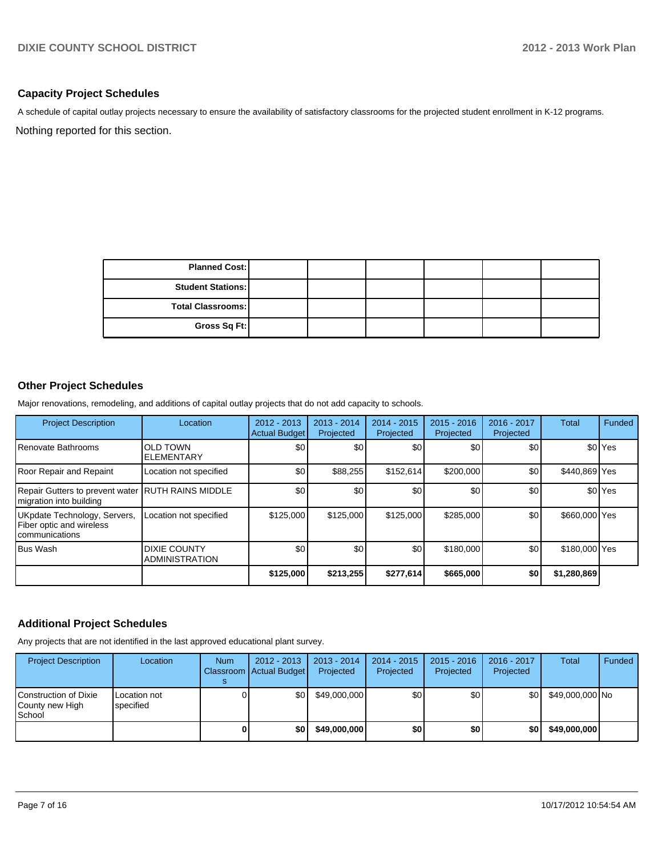### **Capacity Project Schedules**

A schedule of capital outlay projects necessary to ensure the availability of satisfactory classrooms for the projected student enrollment in K-12 programs.

Nothing reported for this section.

| <b>Planned Cost:</b>     |  |  |  |
|--------------------------|--|--|--|
| <b>Student Stations:</b> |  |  |  |
| Total Classrooms:        |  |  |  |
| Gross Sq Ft:             |  |  |  |

## **Other Project Schedules**

Major renovations, remodeling, and additions of capital outlay projects that do not add capacity to schools.

| <b>Project Description</b>                                                   | Location                                     | $2012 - 2013$<br><b>Actual Budget</b> | $2013 - 2014$<br>Projected | $2014 - 2015$<br>Projected | $2015 - 2016$<br>Projected | 2016 - 2017<br>Projected | Total         | Funded               |
|------------------------------------------------------------------------------|----------------------------------------------|---------------------------------------|----------------------------|----------------------------|----------------------------|--------------------------|---------------|----------------------|
| Renovate Bathrooms                                                           | <b>OLD TOWN</b><br><b>ELEMENTARY</b>         | \$0                                   | \$0                        | \$0                        | \$0                        | \$0                      |               | \$0 <sup>l</sup> Yes |
| <b>Roor Repair and Repaint</b>                                               | Location not specified                       | \$0                                   | \$88,255                   | \$152.614                  | \$200,000                  | \$0                      | \$440,869 Yes |                      |
| Repair Gutters to prevent water RUTH RAINS MIDDLE<br>migration into building |                                              | \$0                                   | \$0                        | \$0                        | \$0                        | \$0                      |               | \$0 <sup>l</sup> Yes |
| UKpdate Technology, Servers,<br>Fiber optic and wireless<br>communications   | Location not specified                       | \$125,000                             | \$125,000                  | \$125,000                  | \$285,000                  | \$0                      | \$660,000 Yes |                      |
| <b>Bus Wash</b>                                                              | <b>DIXIE COUNTY</b><br><b>ADMINISTRATION</b> | \$0                                   | \$0                        | \$0                        | \$180,000                  | \$0                      | \$180,000 Yes |                      |
|                                                                              |                                              | \$125,000                             | \$213,255                  | \$277,614                  | \$665,000                  | \$0                      | \$1,280,869   |                      |

### **Additional Project Schedules**

Any projects that are not identified in the last approved educational plant survey.

| <b>Project Description</b>                                | Location                  | <b>Num</b> | $2012 - 2013$<br>Classroom   Actual Budget | $2013 - 2014$<br>Projected | $2014 - 2015$<br>Projected | $2015 - 2016$<br>Projected | 2016 - 2017<br>Projected | Total           | Funded |
|-----------------------------------------------------------|---------------------------|------------|--------------------------------------------|----------------------------|----------------------------|----------------------------|--------------------------|-----------------|--------|
| <b>Construction of Dixie</b><br>County new High<br>School | Location not<br>specified |            | \$0 I                                      | \$49,000,000               | \$0                        | \$O I                      | \$0l                     | \$49,000,000 No |        |
|                                                           |                           |            | \$O I                                      | \$49,000,000               | \$0                        | \$0                        | \$0                      | \$49,000,000    |        |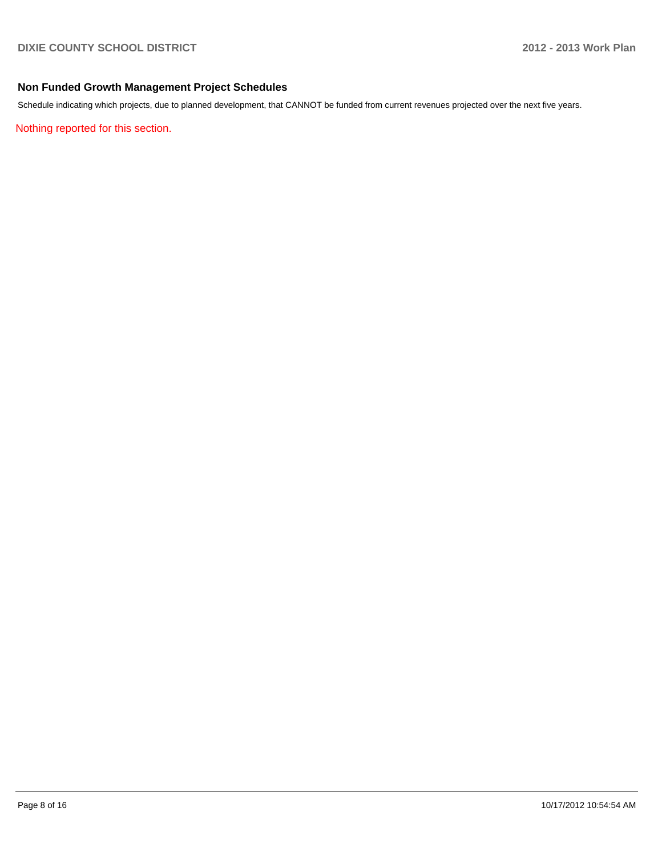### **Non Funded Growth Management Project Schedules**

Schedule indicating which projects, due to planned development, that CANNOT be funded from current revenues projected over the next five years.

Nothing reported for this section.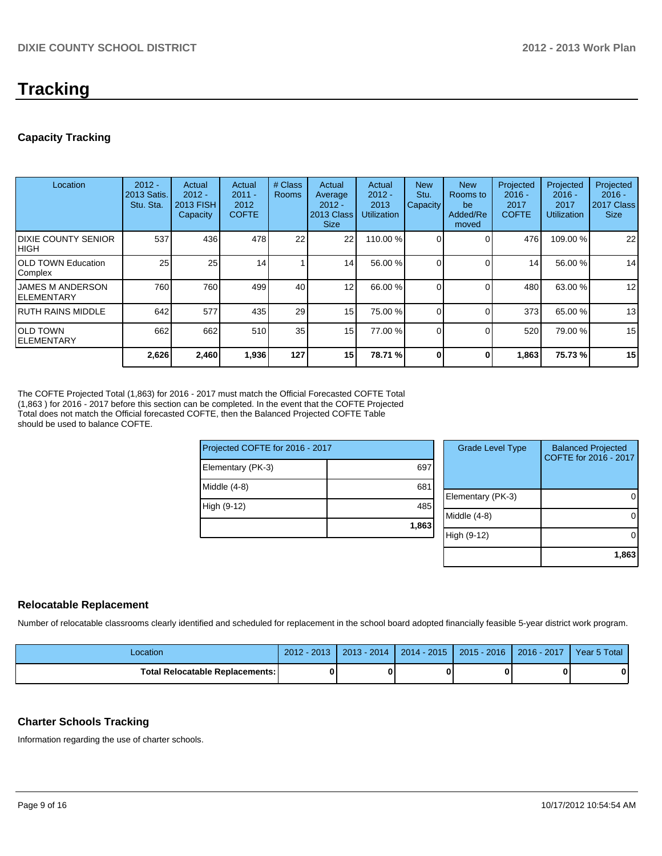# **Tracking**

## **Capacity Tracking**

| Location                                       | $2012 -$<br>2013 Satis.<br>Stu. Sta. | Actual<br>$2012 -$<br>2013 FISH<br>Capacity | Actual<br>$2011 -$<br>2012<br><b>COFTE</b> | # Class<br><b>Rooms</b> | Actual<br>Average<br>$2012 -$<br>2013 Class<br><b>Size</b> | Actual<br>$2012 -$<br>2013<br><b>Utilization</b> | <b>New</b><br>Stu.<br>Capacity | <b>New</b><br>Rooms to<br>be<br>Added/Re<br>moved | Projected<br>$2016 -$<br>2017<br><b>COFTE</b> | Projected<br>$2016 -$<br>2017<br><b>Utilization</b> | Projected<br>$2016 -$<br>2017 Class<br><b>Size</b> |
|------------------------------------------------|--------------------------------------|---------------------------------------------|--------------------------------------------|-------------------------|------------------------------------------------------------|--------------------------------------------------|--------------------------------|---------------------------------------------------|-----------------------------------------------|-----------------------------------------------------|----------------------------------------------------|
| <b>IDIXIE COUNTY SENIOR</b><br> HIGH           | 537                                  | 436                                         | 478                                        | 22                      | 22                                                         | 110.00 %                                         |                                |                                                   | 476                                           | 109.00 %                                            | 22                                                 |
| <b>IOLD TOWN Education</b><br>Complex          | 25                                   | 25                                          | 14                                         |                         | 14                                                         | 56.00 %                                          |                                |                                                   | 14                                            | 56.00 %                                             | 14                                                 |
| <b>IJAMES M ANDERSON</b><br><b>IELEMENTARY</b> | 760                                  | 760                                         | 499                                        | 40                      | 12                                                         | 66.00 %                                          |                                |                                                   | 480                                           | 63.00 %                                             | 12                                                 |
| IRUTH RAINS MIDDLE                             | 642                                  | 577                                         | 435                                        | 29                      | 15 <sup>1</sup>                                            | 75.00 %                                          |                                | $\Omega$                                          | 373                                           | 65.00 %                                             | 13                                                 |
| IOLD TOWN<br>IELEMENTARY                       | 662                                  | 662                                         | 510                                        | 35                      | 15 <sup>1</sup>                                            | 77.00 %                                          |                                |                                                   | 520                                           | 79.00 %                                             | 15                                                 |
|                                                | 2,626                                | 2,460                                       | 1,936                                      | 127                     | 15                                                         | 78.71 %                                          |                                |                                                   | 1,863                                         | 75.73 %                                             | 15                                                 |

The COFTE Projected Total (1,863) for 2016 - 2017 must match the Official Forecasted COFTE Total (1,863 ) for 2016 - 2017 before this section can be completed. In the event that the COFTE Projected Total does not match the Official forecasted COFTE, then the Balanced Projected COFTE Table should be used to balance COFTE.

 $Prei$ 

| Projected COFTE for 2016 - 2017 |       | <b>Grade Level Type</b> | <b>Balanced Projected</b><br>COFTE for 2016 - 2017 |
|---------------------------------|-------|-------------------------|----------------------------------------------------|
| Elementary (PK-3)               | 697   |                         |                                                    |
| Middle (4-8)                    | 681   |                         |                                                    |
|                                 |       | Elementary (PK-3)       | 0                                                  |
| High (9-12)                     | 485   |                         |                                                    |
|                                 |       | Middle (4-8)            | 0                                                  |
|                                 | 1,863 |                         |                                                    |
|                                 |       | High (9-12)             | $\Omega$                                           |
|                                 |       |                         |                                                    |
|                                 |       |                         | 1,863                                              |

### **Relocatable Replacement**

Number of relocatable classrooms clearly identified and scheduled for replacement in the school board adopted financially feasible 5-year district work program.

| Location                          | $2012 - 2013$ | $2013 - 2014$ | $2014 - 2015$ | 2015 - 2016   2016 - 2017 | Year 5 Total |
|-----------------------------------|---------------|---------------|---------------|---------------------------|--------------|
| Total Relocatable Replacements: I |               |               |               |                           |              |

### **Charter Schools Tracking**

Information regarding the use of charter schools.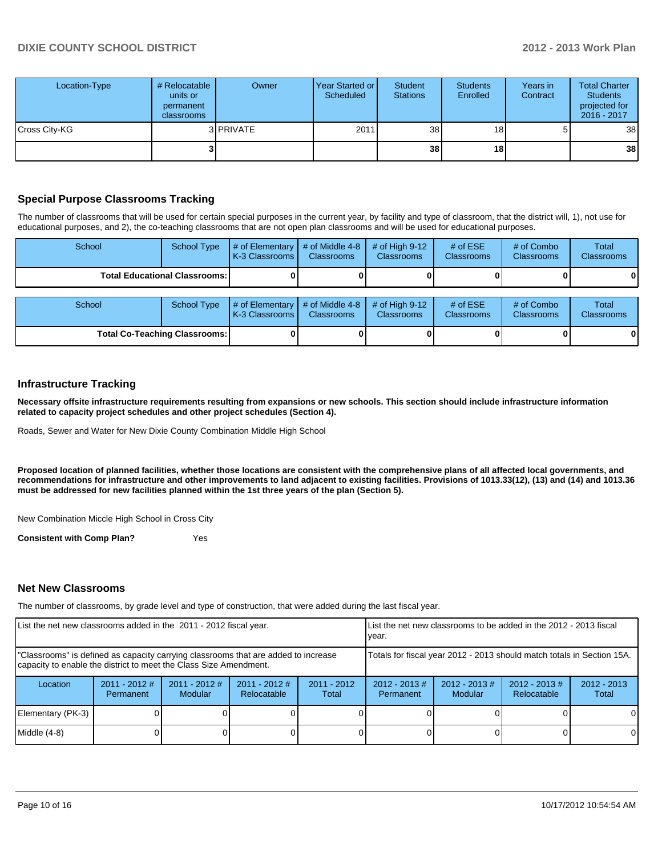| Location-Type | # Relocatable<br>units or<br>permanent<br>classrooms | Owner             | Year Started or<br>Scheduled | Student<br><b>Stations</b> | <b>Students</b><br>Enrolled | Years in<br>Contract | <b>Total Charter</b><br><b>Students</b><br>projected for<br>$2016 - 2017$ |
|---------------|------------------------------------------------------|-------------------|------------------------------|----------------------------|-----------------------------|----------------------|---------------------------------------------------------------------------|
| Cross City-KG |                                                      | 3 <b>IPRIVATE</b> | 2011                         | 38 <sup>1</sup>            | 18 <sub>1</sub>             | 5                    | 38                                                                        |
|               |                                                      |                   |                              | 38                         | 18                          |                      | 38                                                                        |

### **Special Purpose Classrooms Tracking**

The number of classrooms that will be used for certain special purposes in the current year, by facility and type of classroom, that the district will, 1), not use for educational purposes, and 2), the co-teaching classrooms that are not open plan classrooms and will be used for educational purposes.

| School                                 | <b>School Type</b> | # of Elementary<br>K-3 Classrooms    | # of Middle 4-8<br><b>Classrooms</b> | # of High $9-12$<br><b>Classrooms</b> | # of $ESE$<br><b>Classrooms</b> | # of Combo<br><b>Classrooms</b> | Total<br><b>Classrooms</b> |
|----------------------------------------|--------------------|--------------------------------------|--------------------------------------|---------------------------------------|---------------------------------|---------------------------------|----------------------------|
| <b>Total Educational Classrooms: I</b> |                    |                                      |                                      |                                       |                                 |                                 |                            |
| School                                 | <b>School Type</b> | # of Elementary<br>LK-3 Classrooms I | # of Middle 4-8<br><b>Classrooms</b> | # of High $9-12$<br><b>Classrooms</b> | # of $ESE$<br><b>Classrooms</b> | # of Combo<br>Classrooms        | Total<br>Classrooms        |
| Total Co-Teaching Classrooms:          |                    |                                      |                                      |                                       |                                 |                                 |                            |

### **Infrastructure Tracking**

**Necessary offsite infrastructure requirements resulting from expansions or new schools. This section should include infrastructure information related to capacity project schedules and other project schedules (Section 4).**

Roads, Sewer and Water for New Dixie County Combination Middle High School

**Proposed location of planned facilities, whether those locations are consistent with the comprehensive plans of all affected local governments, and recommendations for infrastructure and other improvements to land adjacent to existing facilities. Provisions of 1013.33(12), (13) and (14) and 1013.36 must be addressed for new facilities planned within the 1st three years of the plan (Section 5).**

New Combination Miccle High School in Cross City

**Consistent with Comp Plan?** Yes

#### **Net New Classrooms**

The number of classrooms, by grade level and type of construction, that were added during the last fiscal year.

| List the net new classrooms added in the 2011 - 2012 fiscal year.                                                                                       |                                                                        |                            | Llist the net new classrooms to be added in the 2012 - 2013 fiscal<br>Ivear. |                        |                              |                        |  |   |  |
|---------------------------------------------------------------------------------------------------------------------------------------------------------|------------------------------------------------------------------------|----------------------------|------------------------------------------------------------------------------|------------------------|------------------------------|------------------------|--|---|--|
| "Classrooms" is defined as capacity carrying classrooms that are added to increase<br>capacity to enable the district to meet the Class Size Amendment. | Totals for fiscal year 2012 - 2013 should match totals in Section 15A. |                            |                                                                              |                        |                              |                        |  |   |  |
| Location                                                                                                                                                | $2011 - 2012$ #<br>Permanent                                           | $2011 - 2012$ #<br>Modular | $2011 - 2012$ #<br>Relocatable                                               | $2011 - 2012$<br>Total | $2012 - 2013$ #<br>Permanent | $2012 - 2013$<br>Total |  |   |  |
| Elementary (PK-3)                                                                                                                                       |                                                                        |                            |                                                                              |                        |                              |                        |  |   |  |
| $Middle (4-8)$                                                                                                                                          |                                                                        |                            |                                                                              |                        |                              |                        |  | 0 |  |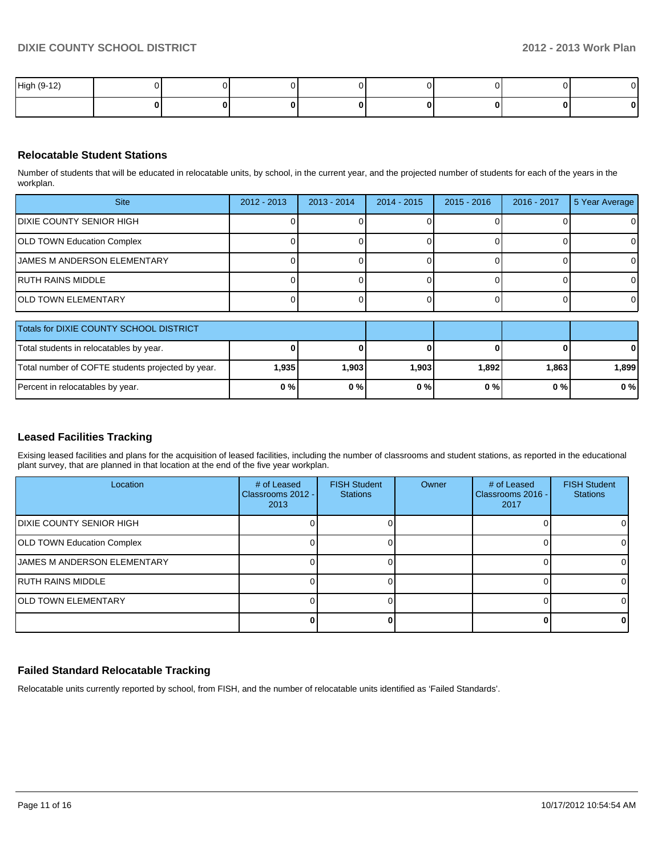| High (9-12) |  |  |  |  |
|-------------|--|--|--|--|
|             |  |  |  |  |

### **Relocatable Student Stations**

Number of students that will be educated in relocatable units, by school, in the current year, and the projected number of students for each of the years in the workplan.

| <b>Site</b>                        | $2012 - 2013$ | $2013 - 2014$ | $2014 - 2015$ | 2015 - 2016 | 2016 - 2017 | 5 Year Average |
|------------------------------------|---------------|---------------|---------------|-------------|-------------|----------------|
| IDIXIE COUNTY SENIOR HIGH          |               |               |               |             |             | 0              |
| OLD TOWN Education Complex         |               |               |               |             |             | 0              |
| <b>JAMES M ANDERSON ELEMENTARY</b> |               |               |               |             |             | $\Omega$       |
| IRUTH RAINS MIDDLE                 |               |               |               |             |             | $\Omega$       |
| IOLD TOWN ELEMENTARY               |               |               |               |             |             | 0              |

| Totals for DIXIE COUNTY SCHOOL DISTRICT           |       |        |       |       |         |              |
|---------------------------------------------------|-------|--------|-------|-------|---------|--------------|
| Total students in relocatables by year.           |       |        |       |       | 0       | $\mathbf{0}$ |
| Total number of COFTE students projected by year. | 1,935 | 903. ا | 1,903 | 1,892 | l.863 l | .899         |
| Percent in relocatables by year.                  | 0%    | 0%     | 0%    | 0%    | 0%      | 0%           |

### **Leased Facilities Tracking**

Exising leased facilities and plans for the acquisition of leased facilities, including the number of classrooms and student stations, as reported in the educational plant survey, that are planned in that location at the end of the five year workplan.

| Location                           | # of Leased<br>Classrooms 2012 -<br>2013 | <b>FISH Student</b><br><b>Stations</b> | Owner | # of Leased<br>Classrooms 2016 -<br>2017 | <b>FISH Student</b><br><b>Stations</b> |
|------------------------------------|------------------------------------------|----------------------------------------|-------|------------------------------------------|----------------------------------------|
| IDIXIE COUNTY SENIOR HIGH          |                                          |                                        |       |                                          | $\Omega$                               |
| <b>OLD TOWN Education Complex</b>  |                                          |                                        |       |                                          | $\Omega$                               |
| <b>JAMES M ANDERSON ELEMENTARY</b> |                                          |                                        |       |                                          |                                        |
| IRUTH RAINS MIDDLE                 |                                          |                                        |       |                                          |                                        |
| <b>IOLD TOWN ELEMENTARY</b>        |                                          |                                        |       |                                          |                                        |
|                                    |                                          |                                        |       |                                          | 01                                     |

## **Failed Standard Relocatable Tracking**

Relocatable units currently reported by school, from FISH, and the number of relocatable units identified as 'Failed Standards'.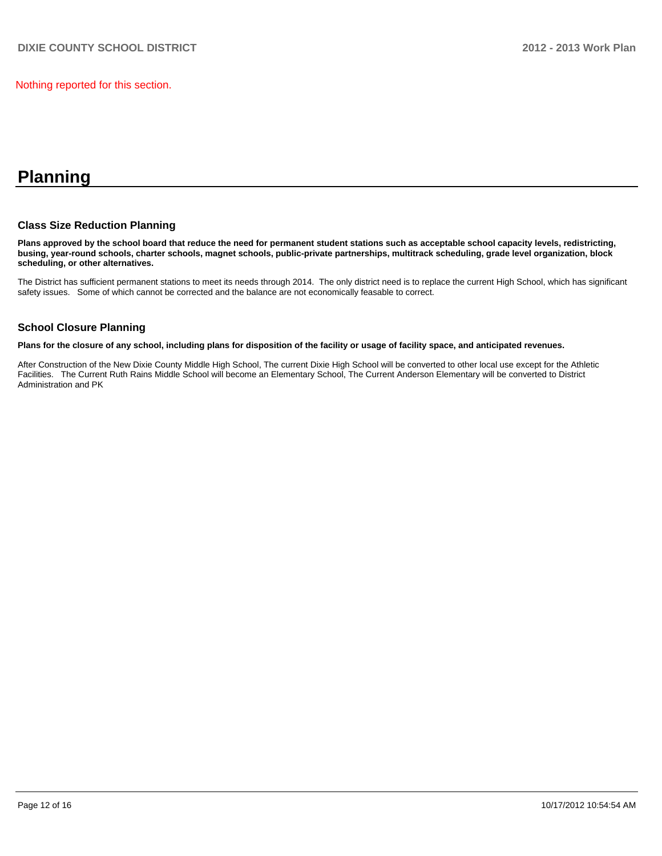Nothing reported for this section.

# **Planning**

### **Class Size Reduction Planning**

**Plans approved by the school board that reduce the need for permanent student stations such as acceptable school capacity levels, redistricting, busing, year-round schools, charter schools, magnet schools, public-private partnerships, multitrack scheduling, grade level organization, block scheduling, or other alternatives.**

The District has sufficient permanent stations to meet its needs through 2014. The only district need is to replace the current High School, which has significant safety issues. Some of which cannot be corrected and the balance are not economically feasable to correct.

### **School Closure Planning**

**Plans for the closure of any school, including plans for disposition of the facility or usage of facility space, and anticipated revenues.**

After Construction of the New Dixie County Middle High School, The current Dixie High School will be converted to other local use except for the Athletic Facilities. The Current Ruth Rains Middle School will become an Elementary School, The Current Anderson Elementary will be converted to District Administration and PK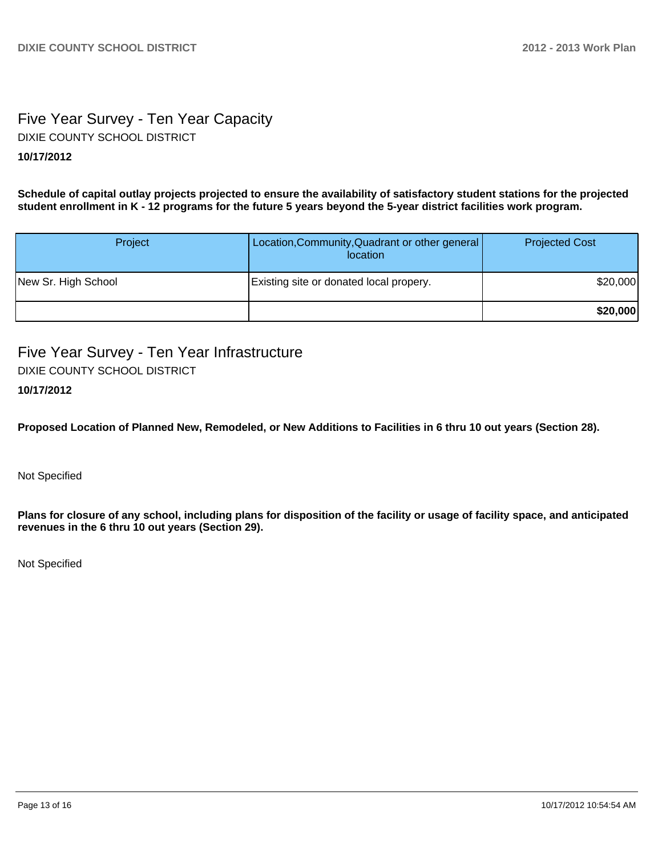# Five Year Survey - Ten Year Capacity **10/17/2012** DIXIE COUNTY SCHOOL DISTRICT

**Schedule of capital outlay projects projected to ensure the availability of satisfactory student stations for the projected student enrollment in K - 12 programs for the future 5 years beyond the 5-year district facilities work program.**

| <b>Project</b>      | Location, Community, Quadrant or other general<br>location | <b>Projected Cost</b> |
|---------------------|------------------------------------------------------------|-----------------------|
| New Sr. High School | Existing site or donated local propery.                    | \$20,000              |
|                     |                                                            | \$20,000              |

Five Year Survey - Ten Year Infrastructure DIXIE COUNTY SCHOOL DISTRICT

## **10/17/2012**

**Proposed Location of Planned New, Remodeled, or New Additions to Facilities in 6 thru 10 out years (Section 28).**

Not Specified

**Plans for closure of any school, including plans for disposition of the facility or usage of facility space, and anticipated revenues in the 6 thru 10 out years (Section 29).**

Not Specified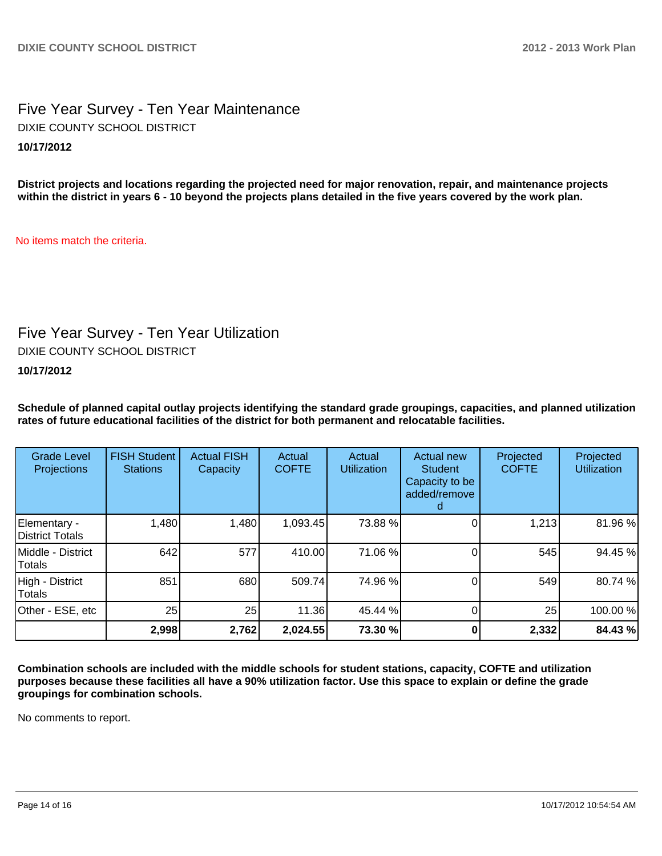# Five Year Survey - Ten Year Maintenance **10/17/2012** DIXIE COUNTY SCHOOL DISTRICT

**District projects and locations regarding the projected need for major renovation, repair, and maintenance projects within the district in years 6 - 10 beyond the projects plans detailed in the five years covered by the work plan.**

No items match the criteria.

# Five Year Survey - Ten Year Utilization

DIXIE COUNTY SCHOOL DISTRICT

**10/17/2012**

**Schedule of planned capital outlay projects identifying the standard grade groupings, capacities, and planned utilization rates of future educational facilities of the district for both permanent and relocatable facilities.**

| <b>Grade Level</b><br><b>Projections</b> | <b>FISH Student</b><br><b>Stations</b> | <b>Actual FISH</b><br>Capacity | Actual<br><b>COFTE</b> | Actual<br><b>Utilization</b> | Actual new<br><b>Student</b><br>Capacity to be<br>added/remove | Projected<br><b>COFTE</b> | Projected<br><b>Utilization</b> |
|------------------------------------------|----------------------------------------|--------------------------------|------------------------|------------------------------|----------------------------------------------------------------|---------------------------|---------------------------------|
| Elementary -<br>District Totals          | 1,480                                  | 1,480                          | 1,093.45               | 73.88 %                      |                                                                | 1,213                     | 81.96%                          |
| Middle - District<br>Totals              | 642                                    | 577                            | 410.00                 | 71.06 %                      |                                                                | 545                       | 94.45 %                         |
| High - District<br>Totals                | 851                                    | 680                            | 509.74                 | 74.96 %                      |                                                                | 549                       | 80.74%                          |
| Other - ESE, etc                         | 25                                     | 25                             | 11.36                  | 45.44 %                      |                                                                | 25                        | 100.00%                         |
|                                          | 2,998                                  | 2,762                          | 2,024.55               | 73.30 %                      |                                                                | 2,332                     | 84.43%                          |

**Combination schools are included with the middle schools for student stations, capacity, COFTE and utilization purposes because these facilities all have a 90% utilization factor. Use this space to explain or define the grade groupings for combination schools.**

No comments to report.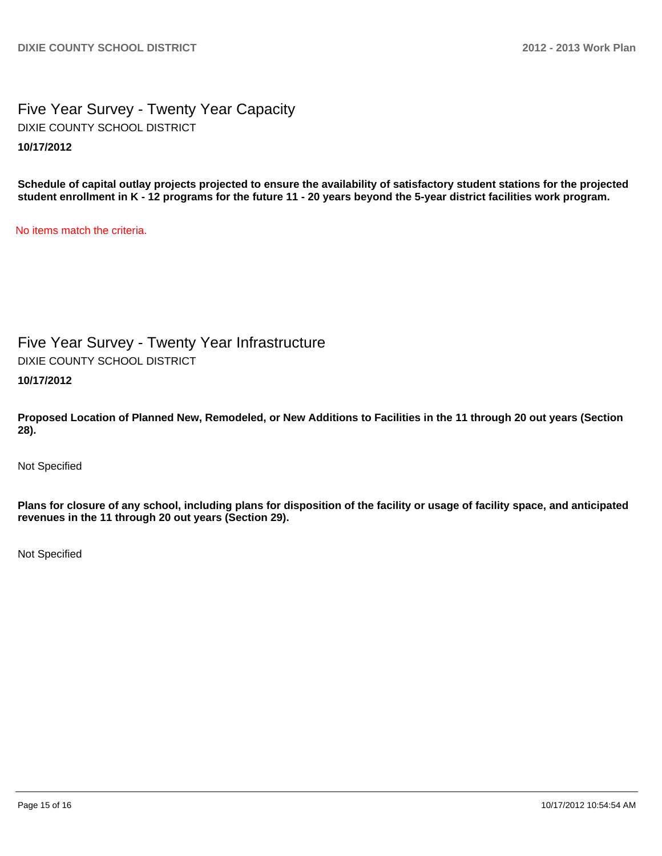Five Year Survey - Twenty Year Capacity **10/17/2012** DIXIE COUNTY SCHOOL DISTRICT

**Schedule of capital outlay projects projected to ensure the availability of satisfactory student stations for the projected student enrollment in K - 12 programs for the future 11 - 20 years beyond the 5-year district facilities work program.**

No items match the criteria.

Five Year Survey - Twenty Year Infrastructure DIXIE COUNTY SCHOOL DISTRICT

**10/17/2012**

**Proposed Location of Planned New, Remodeled, or New Additions to Facilities in the 11 through 20 out years (Section 28).**

Not Specified

**Plans for closure of any school, including plans for disposition of the facility or usage of facility space, and anticipated revenues in the 11 through 20 out years (Section 29).**

Not Specified